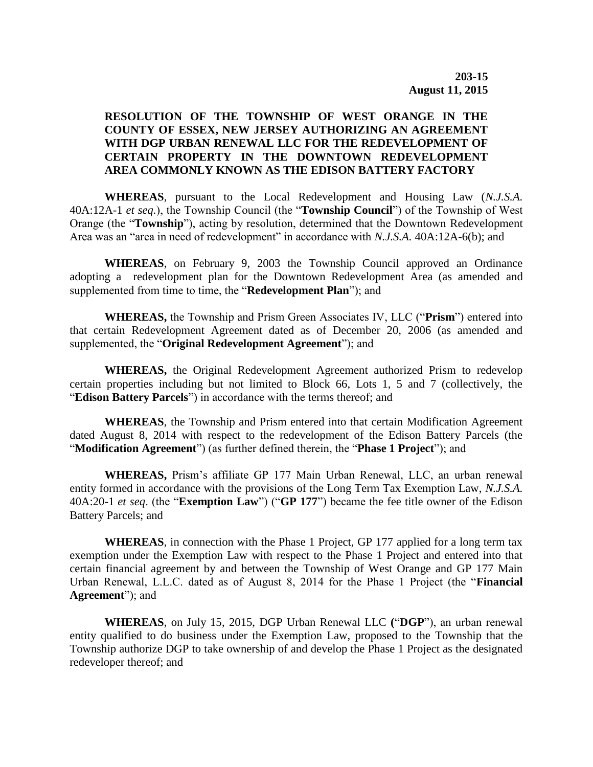## **RESOLUTION OF THE TOWNSHIP OF WEST ORANGE IN THE COUNTY OF ESSEX, NEW JERSEY AUTHORIZING AN AGREEMENT WITH DGP URBAN RENEWAL LLC FOR THE REDEVELOPMENT OF CERTAIN PROPERTY IN THE DOWNTOWN REDEVELOPMENT AREA COMMONLY KNOWN AS THE EDISON BATTERY FACTORY**

**WHEREAS**, pursuant to the Local Redevelopment and Housing Law (*N.J.S.A.* 40A:12A-1 *et seq.*), the Township Council (the "**Township Council**") of the Township of West Orange (the "**Township**"), acting by resolution, determined that the Downtown Redevelopment Area was an "area in need of redevelopment" in accordance with *N.J.S.A.* 40A:12A-6(b); and

**WHEREAS**, on February 9, 2003 the Township Council approved an Ordinance adopting a redevelopment plan for the Downtown Redevelopment Area (as amended and supplemented from time to time, the "**Redevelopment Plan**"); and

**WHEREAS,** the Township and Prism Green Associates IV, LLC ("**Prism**") entered into that certain Redevelopment Agreement dated as of December 20, 2006 (as amended and supplemented, the "**Original Redevelopment Agreement**"); and

**WHEREAS,** the Original Redevelopment Agreement authorized Prism to redevelop certain properties including but not limited to Block 66, Lots 1, 5 and 7 (collectively, the "**Edison Battery Parcels**") in accordance with the terms thereof; and

**WHEREAS**, the Township and Prism entered into that certain Modification Agreement dated August 8, 2014 with respect to the redevelopment of the Edison Battery Parcels (the "**Modification Agreement**") (as further defined therein, the "**Phase 1 Project**"); and

**WHEREAS,** Prism's affiliate GP 177 Main Urban Renewal, LLC, an urban renewal entity formed in accordance with the provisions of the Long Term Tax Exemption Law, *N.J.S.A.* 40A:20-1 *et seq*. (the "**Exemption Law**") ("**GP 177**") became the fee title owner of the Edison Battery Parcels; and

**WHEREAS**, in connection with the Phase 1 Project, GP 177 applied for a long term tax exemption under the Exemption Law with respect to the Phase 1 Project and entered into that certain financial agreement by and between the Township of West Orange and GP 177 Main Urban Renewal, L.L.C. dated as of August 8, 2014 for the Phase 1 Project (the "**Financial Agreement**"); and

**WHEREAS**, on July 15, 2015, DGP Urban Renewal LLC **(**"**DGP**"), an urban renewal entity qualified to do business under the Exemption Law, proposed to the Township that the Township authorize DGP to take ownership of and develop the Phase 1 Project as the designated redeveloper thereof; and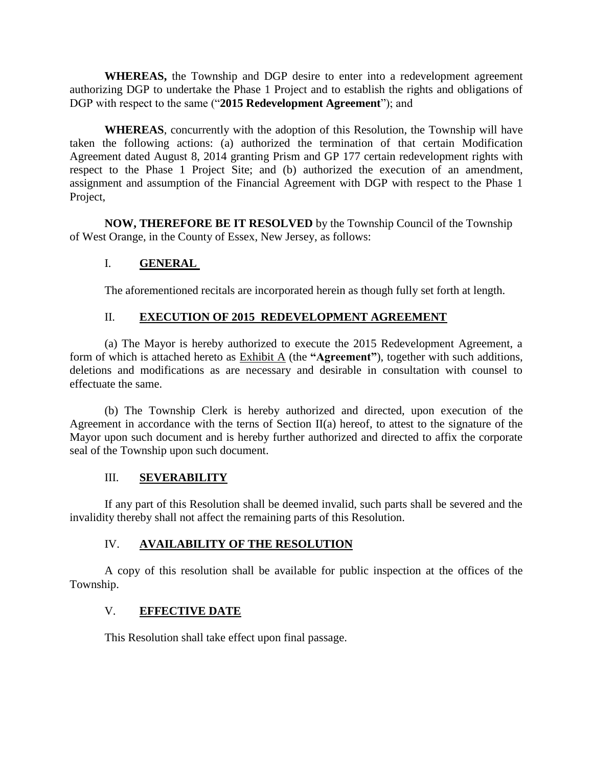**WHEREAS,** the Township and DGP desire to enter into a redevelopment agreement authorizing DGP to undertake the Phase 1 Project and to establish the rights and obligations of DGP with respect to the same ("**2015 Redevelopment Agreement**"); and

**WHEREAS**, concurrently with the adoption of this Resolution, the Township will have taken the following actions: (a) authorized the termination of that certain Modification Agreement dated August 8, 2014 granting Prism and GP 177 certain redevelopment rights with respect to the Phase 1 Project Site; and (b) authorized the execution of an amendment, assignment and assumption of the Financial Agreement with DGP with respect to the Phase 1 Project,

**NOW, THEREFORE BE IT RESOLVED** by the Township Council of the Township of West Orange, in the County of Essex, New Jersey, as follows:

# I. **GENERAL**

The aforementioned recitals are incorporated herein as though fully set forth at length.

## II. **EXECUTION OF 2015 REDEVELOPMENT AGREEMENT**

(a) The Mayor is hereby authorized to execute the 2015 Redevelopment Agreement, a form of which is attached hereto as Exhibit A (the **"Agreement"**), together with such additions, deletions and modifications as are necessary and desirable in consultation with counsel to effectuate the same.

(b) The Township Clerk is hereby authorized and directed, upon execution of the Agreement in accordance with the terns of Section II(a) hereof, to attest to the signature of the Mayor upon such document and is hereby further authorized and directed to affix the corporate seal of the Township upon such document.

#### III. **SEVERABILITY**

If any part of this Resolution shall be deemed invalid, such parts shall be severed and the invalidity thereby shall not affect the remaining parts of this Resolution.

# IV. **AVAILABILITY OF THE RESOLUTION**

A copy of this resolution shall be available for public inspection at the offices of the Township.

# V. **EFFECTIVE DATE**

This Resolution shall take effect upon final passage.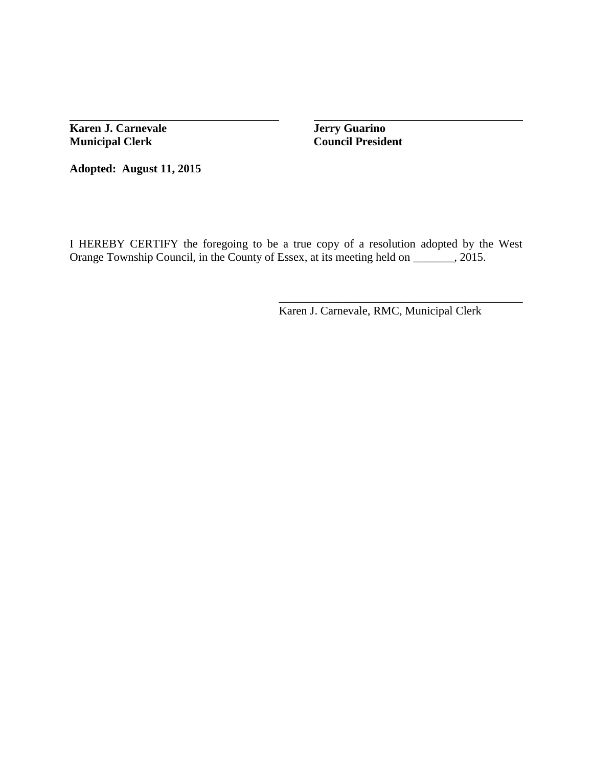**Karen J. Carnevale Jerry Guarino Municipal Clerk Council President**

**Adopted: August 11, 2015**

I HEREBY CERTIFY the foregoing to be a true copy of a resolution adopted by the West Orange Township Council, in the County of Essex, at its meeting held on \_\_\_\_\_\_, 2015.

Karen J. Carnevale, RMC, Municipal Clerk

\_\_\_\_\_\_\_\_\_\_\_\_\_\_\_\_\_\_\_\_\_\_\_\_\_\_\_\_\_\_\_\_\_\_\_\_\_\_\_\_\_\_